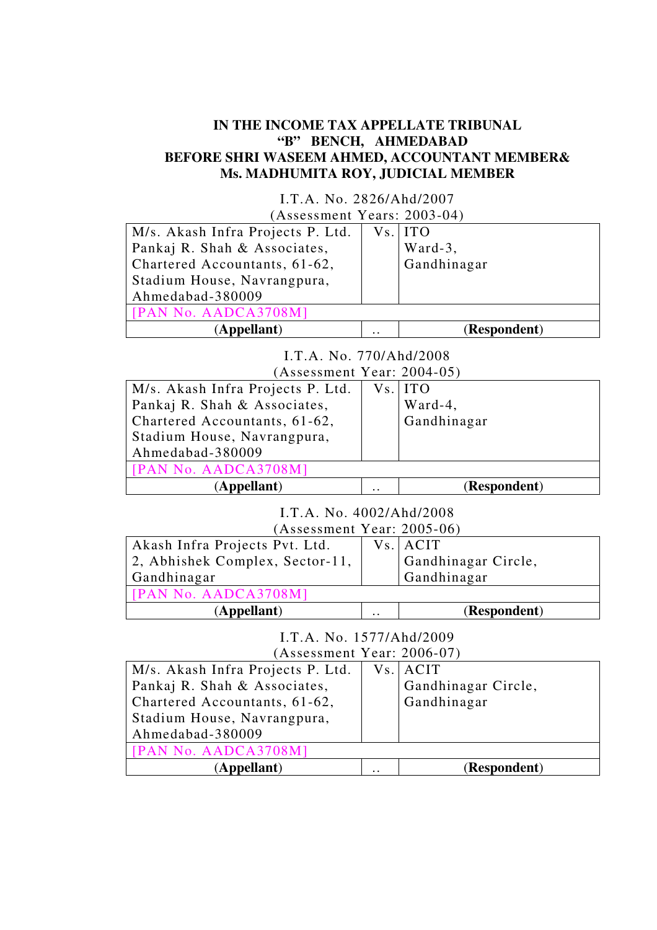# **IN THE INCOME TAX APPELLATE TRIBUNAL "B" BENCH, AHMEDABAD BEFORE SHRI WASEEM AHMED, ACCOUNTANT MEMBER& Ms. MADHUMITA ROY, JUDICIAL MEMBER**

| I.T.A. No. 2826/Ahd/2007          |              |              |
|-----------------------------------|--------------|--------------|
| (Assessment Years: 2003-04)       |              |              |
| M/s. Akash Infra Projects P. Ltd. |              | Vs. ITO      |
| Pankaj R. Shah & Associates,      |              | Ward-3,      |
| Chartered Accountants, 61-62,     |              | Gandhinagar  |
| Stadium House, Navrangpura,       |              |              |
| Ahmedabad-380009                  |              |              |
| [PAN No. AADCA3708M]              |              |              |
| (Appellant)                       | $\cdot\cdot$ | (Respondent) |

I.T.A. No. 770/Ahd/2008

| $(Assessment Year: 2004-05)$      |              |              |
|-----------------------------------|--------------|--------------|
| M/s. Akash Infra Projects P. Ltd. |              | Vs. ITO      |
| Pankaj R. Shah & Associates,      |              | Ward-4,      |
| Chartered Accountants, 61-62,     |              | Gandhinagar  |
| Stadium House, Navrangpura,       |              |              |
| Ahmedabad-380009                  |              |              |
| [PAN No. AADCA3708M]              |              |              |
| <b><i>Appellant</i></b> )         | $\cdot\cdot$ | (Respondent) |

I.T.A. No. 4002/Ahd/2008

| (Assessment Year: 2005-06)      |              |                     |
|---------------------------------|--------------|---------------------|
| Akash Infra Projects Pvt. Ltd.  |              | Vs. ACIT            |
| 2, Abhishek Complex, Sector-11, |              | Gandhinagar Circle, |
| Gandhinagar                     |              | Gandhinagar         |
| [PAN No. AADCA3708M]            |              |                     |
| (Appellant)                     | $\cdot\cdot$ | (Respondent)        |

I.T.A. No. 1577/Ahd/2009 (Assessment Year: 2006-07)

| M/s. Akash Infra Projects P. Ltd.<br>Pankaj R. Shah & Associates,<br>Chartered Accountants, 61-62,<br>Stadium House, Navrangpura,<br>Ahmedabad-380009 |              | Vs. ACIT<br>Gandhinagar Circle,<br>Gandhinagar |
|-------------------------------------------------------------------------------------------------------------------------------------------------------|--------------|------------------------------------------------|
| [PAN No. AADCA3708M]                                                                                                                                  |              |                                                |
| (Appellant)                                                                                                                                           | $\cdot\cdot$ | (Respondent)                                   |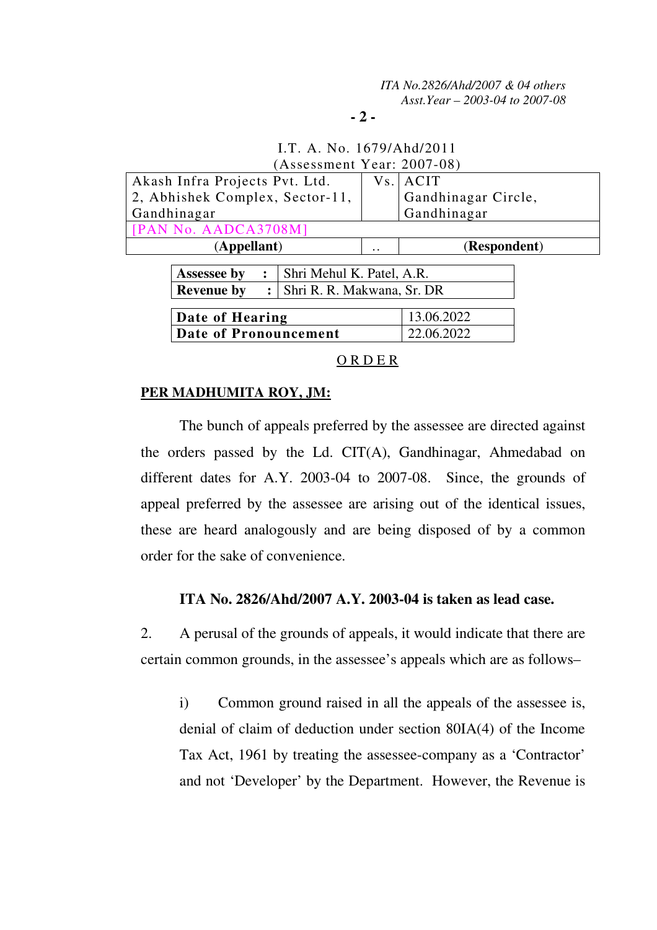### **- 2 -**

# I.T. A. No. 1679/Ahd/2011 (Assessment Year: 2007-08)

| Akash Infra Projects Pvt. Ltd.      |                            | Vs.          | ACIT                |
|-------------------------------------|----------------------------|--------------|---------------------|
| 2, Abhishek Complex, Sector-11,     |                            |              | Gandhinagar Circle, |
| Gandhinagar                         |                            |              | Gandhinagar         |
| [PAN No. AADCA3708M]                |                            |              |                     |
| (Appellant)                         |                            | $\cdot\cdot$ | (Respondent)        |
|                                     |                            |              |                     |
| <b>Assessee by</b>                  | Shri Mehul K. Patel, A.R.  |              |                     |
| <b>Revenue by</b><br>$\ddot{\cdot}$ | Shri R. R. Makwana, Sr. DR |              |                     |
|                                     |                            |              |                     |
| Date of Hearing                     |                            |              | 13.06.2022          |
| <b>Date of Pronouncement</b>        |                            |              | 22.06.2022          |
|                                     |                            |              |                     |

O R D E R

# **PER MADHUMITA ROY, JM:**

 The bunch of appeals preferred by the assessee are directed against the orders passed by the Ld. CIT(A), Gandhinagar, Ahmedabad on different dates for A.Y. 2003-04 to 2007-08. Since, the grounds of appeal preferred by the assessee are arising out of the identical issues, these are heard analogously and are being disposed of by a common order for the sake of convenience.

## **ITA No. 2826/Ahd/2007 A.Y. 2003-04 is taken as lead case.**

2. A perusal of the grounds of appeals, it would indicate that there are certain common grounds, in the assessee's appeals which are as follows–

i) Common ground raised in all the appeals of the assessee is, denial of claim of deduction under section 80IA(4) of the Income Tax Act, 1961 by treating the assessee-company as a 'Contractor' and not 'Developer' by the Department. However, the Revenue is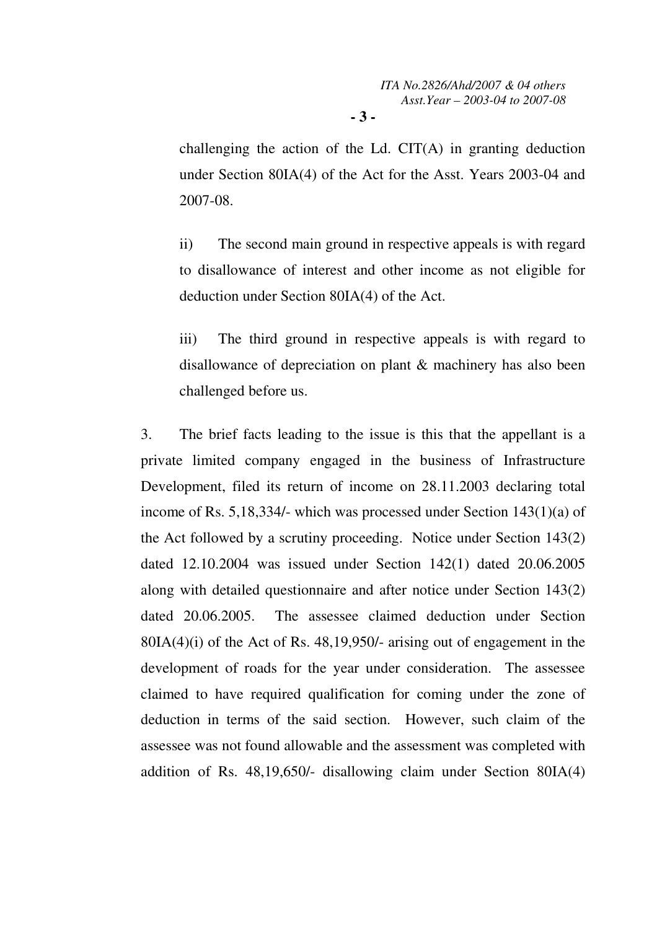challenging the action of the Ld. CIT(A) in granting deduction under Section 80IA(4) of the Act for the Asst. Years 2003-04 and 2007-08.

**- 3 -** 

ii) The second main ground in respective appeals is with regard to disallowance of interest and other income as not eligible for deduction under Section 80IA(4) of the Act.

iii) The third ground in respective appeals is with regard to disallowance of depreciation on plant & machinery has also been challenged before us.

3. The brief facts leading to the issue is this that the appellant is a private limited company engaged in the business of Infrastructure Development, filed its return of income on 28.11.2003 declaring total income of Rs. 5,18,334/- which was processed under Section 143(1)(a) of the Act followed by a scrutiny proceeding. Notice under Section 143(2) dated 12.10.2004 was issued under Section 142(1) dated 20.06.2005 along with detailed questionnaire and after notice under Section 143(2) dated 20.06.2005. The assessee claimed deduction under Section 80IA(4)(i) of the Act of Rs. 48,19,950/- arising out of engagement in the development of roads for the year under consideration. The assessee claimed to have required qualification for coming under the zone of deduction in terms of the said section. However, such claim of the assessee was not found allowable and the assessment was completed with addition of Rs. 48,19,650/- disallowing claim under Section 80IA(4)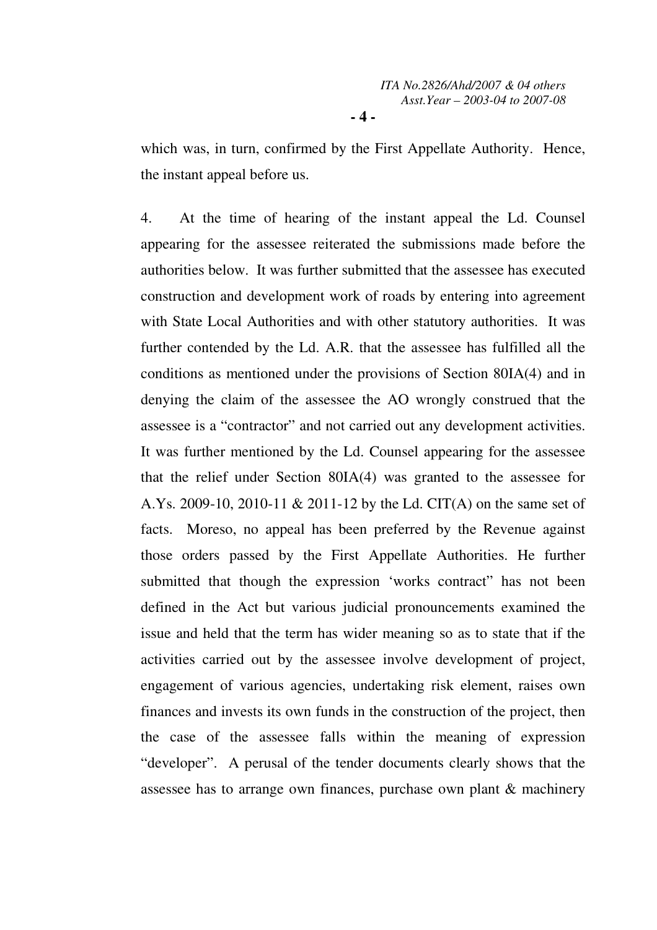which was, in turn, confirmed by the First Appellate Authority. Hence, the instant appeal before us.

4. At the time of hearing of the instant appeal the Ld. Counsel appearing for the assessee reiterated the submissions made before the authorities below. It was further submitted that the assessee has executed construction and development work of roads by entering into agreement with State Local Authorities and with other statutory authorities. It was further contended by the Ld. A.R. that the assessee has fulfilled all the conditions as mentioned under the provisions of Section 80IA(4) and in denying the claim of the assessee the AO wrongly construed that the assessee is a "contractor" and not carried out any development activities. It was further mentioned by the Ld. Counsel appearing for the assessee that the relief under Section 80IA(4) was granted to the assessee for A.Ys. 2009-10, 2010-11 & 2011-12 by the Ld. CIT(A) on the same set of facts. Moreso, no appeal has been preferred by the Revenue against those orders passed by the First Appellate Authorities. He further submitted that though the expression 'works contract" has not been defined in the Act but various judicial pronouncements examined the issue and held that the term has wider meaning so as to state that if the activities carried out by the assessee involve development of project, engagement of various agencies, undertaking risk element, raises own finances and invests its own funds in the construction of the project, then the case of the assessee falls within the meaning of expression "developer". A perusal of the tender documents clearly shows that the assessee has to arrange own finances, purchase own plant & machinery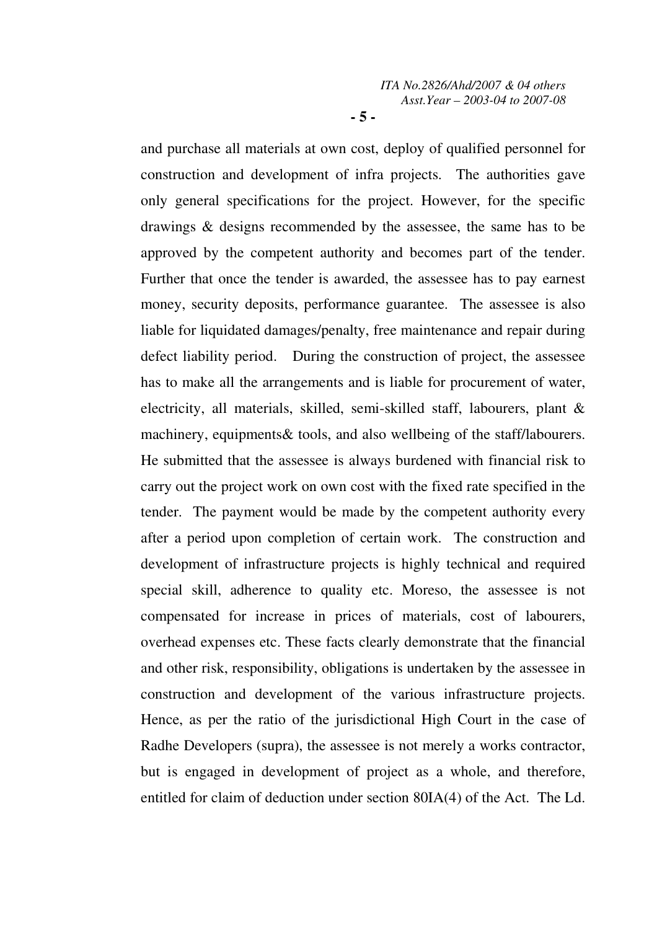and purchase all materials at own cost, deploy of qualified personnel for construction and development of infra projects. The authorities gave only general specifications for the project. However, for the specific drawings & designs recommended by the assessee, the same has to be approved by the competent authority and becomes part of the tender. Further that once the tender is awarded, the assessee has to pay earnest money, security deposits, performance guarantee. The assessee is also liable for liquidated damages/penalty, free maintenance and repair during defect liability period. During the construction of project, the assessee has to make all the arrangements and is liable for procurement of water, electricity, all materials, skilled, semi-skilled staff, labourers, plant & machinery, equipments& tools, and also wellbeing of the staff/labourers. He submitted that the assessee is always burdened with financial risk to carry out the project work on own cost with the fixed rate specified in the tender. The payment would be made by the competent authority every after a period upon completion of certain work. The construction and development of infrastructure projects is highly technical and required special skill, adherence to quality etc. Moreso, the assessee is not compensated for increase in prices of materials, cost of labourers, overhead expenses etc. These facts clearly demonstrate that the financial and other risk, responsibility, obligations is undertaken by the assessee in construction and development of the various infrastructure projects. Hence, as per the ratio of the jurisdictional High Court in the case of Radhe Developers (supra), the assessee is not merely a works contractor, but is engaged in development of project as a whole, and therefore, entitled for claim of deduction under section 80IA(4) of the Act. The Ld.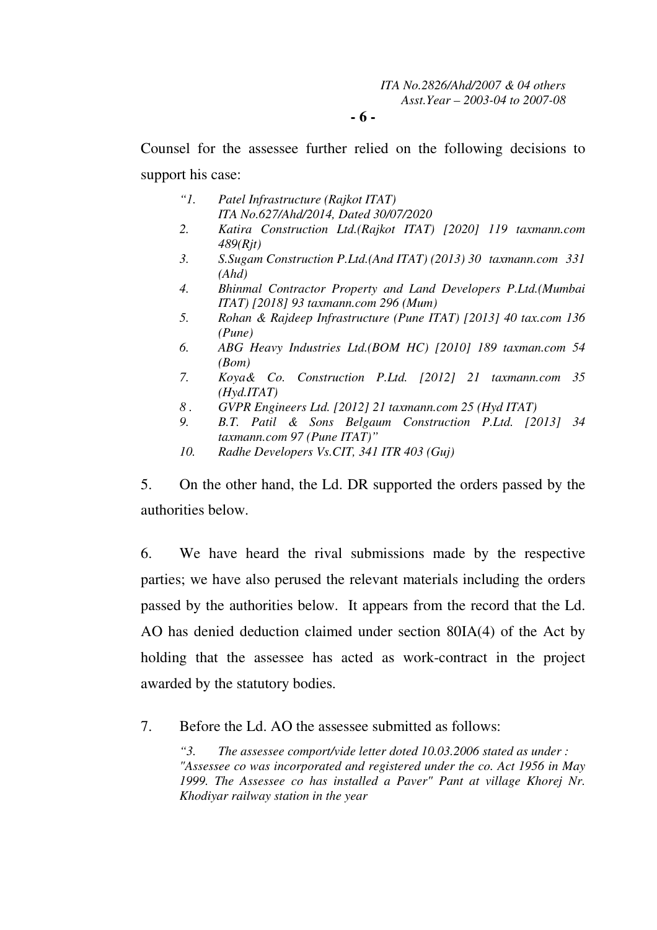**- 6 -** 

Counsel for the assessee further relied on the following decisions to support his case:

- *"1. Patel Infrastructure (Rajkot ITAT) ITA No.627/Ahd/2014, Dated 30/07/2020*
- *2. Katira Construction Ltd.(Rajkot ITAT) [2020] 119 taxmann.com 489(Rjt)*
- *3. S.Sugam Construction P.Ltd.(And ITAT) (2013) 30 taxmann.com 331 (Ahd)*
- *4. Bhinmal Contractor Property and Land Developers P.Ltd.(Mumbai ITAT) [2018] 93 taxmann.com 296 (Mum)*
- *5. Rohan & Rajdeep Infrastructure (Pune ITAT) [2013] 40 tax.com 136 (Pune)*
- *6. ABG Heavy Industries Ltd.(BOM HC) [2010] 189 taxman.com 54 (Bom)*
- *7. Koya& Co. Construction P.Ltd. [2012] 21 taxmann.com 35 (Hyd.ITAT)*
- *8 . GVPR Engineers Ltd. [2012] 21 taxmann.com 25 (Hyd ITAT)*
- *9. B.T. Patil & Sons Belgaum Construction P.Ltd. [2013] 34 taxmann.com 97 (Pune ITAT)"*
- *10. Radhe Developers Vs.CIT, 341 ITR 403 (Guj)*

5. On the other hand, the Ld. DR supported the orders passed by the authorities below.

6. We have heard the rival submissions made by the respective parties; we have also perused the relevant materials including the orders passed by the authorities below. It appears from the record that the Ld. AO has denied deduction claimed under section 80IA(4) of the Act by holding that the assessee has acted as work-contract in the project awarded by the statutory bodies.

7. Before the Ld. AO the assessee submitted as follows:

*"3. The assessee comport/vide letter doted 10.03.2006 stated as under : "Assessee co was incorporated and registered under the co. Act 1956 in May 1999. The Assessee co has installed a Paver" Pant at village Khorej Nr. Khodiyar railway station in the year*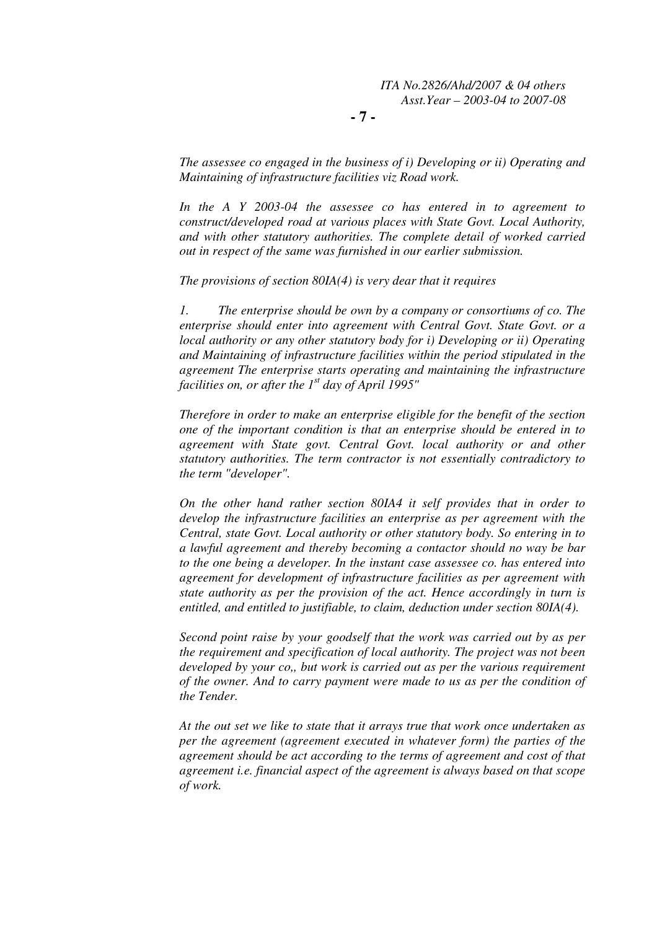**- 7 -** 

*The assessee co engaged in the business of i) Developing or ii) Operating and Maintaining of infrastructure facilities viz Road work.* 

*In the A Y 2003-04 the assessee co has entered in to agreement to construct/developed road at various places with State Govt. Local Authority, and with other statutory authorities. The complete detail of worked carried out in respect of the same was furnished in our earlier submission.* 

*The provisions of section 80IA(4) is very dear that it requires* 

*1. The enterprise should be own by a company or consortiums of co. The enterprise should enter into agreement with Central Govt. State Govt. or a local authority or any other statutory body for i) Developing or ii) Operating and Maintaining of infrastructure facilities within the period stipulated in the agreement The enterprise starts operating and maintaining the infrastructure facilities on, or after the 1st day of April 1995"* 

*Therefore in order to make an enterprise eligible for the benefit of the section one of the important condition is that an enterprise should be entered in to agreement with State govt. Central Govt. local authority or and other statutory authorities. The term contractor is not essentially contradictory to the term "developer".* 

*On the other hand rather section 80IA4 it self provides that in order to develop the infrastructure facilities an enterprise as per agreement with the Central, state Govt. Local authority or other statutory body. So entering in to a lawful agreement and thereby becoming a contactor should no way be bar to the one being a developer. In the instant case assessee co. has entered into agreement for development of infrastructure facilities as per agreement with state authority as per the provision of the act. Hence accordingly in turn is entitled, and entitled to justifiable, to claim, deduction under section 80IA(4).* 

*Second point raise by your goodself that the work was carried out by as per the requirement and specification of local authority. The project was not been developed by your co,, but work is carried out as per the various requirement of the owner. And to carry payment were made to us as per the condition of the Tender.* 

*At the out set we like to state that it arrays true that work once undertaken as per the agreement (agreement executed in whatever form) the parties of the agreement should be act according to the terms of agreement and cost of that agreement i.e. financial aspect of the agreement is always based on that scope of work.*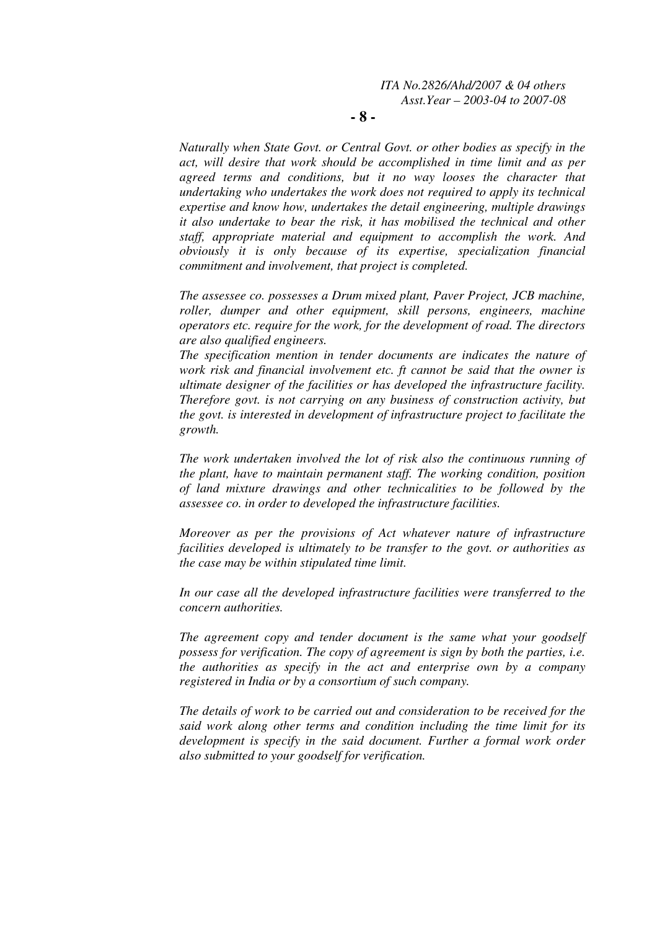**- 8 -** 

*Naturally when State Govt. or Central Govt. or other bodies as specify in the act, will desire that work should be accomplished in time limit and as per agreed terms and conditions, but it no way looses the character that undertaking who undertakes the work does not required to apply its technical expertise and know how, undertakes the detail engineering, multiple drawings it also undertake to bear the risk, it has mobilised the technical and other staff, appropriate material and equipment to accomplish the work. And obviously it is only because of its expertise, specialization financial commitment and involvement, that project is completed.* 

*The assessee co. possesses a Drum mixed plant, Paver Project, JCB machine, roller, dumper and other equipment, skill persons, engineers, machine operators etc. require for the work, for the development of road. The directors are also qualified engineers.* 

*The specification mention in tender documents are indicates the nature of work risk and financial involvement etc. ft cannot be said that the owner is ultimate designer of the facilities or has developed the infrastructure facility. Therefore govt. is not carrying on any business of construction activity, but the govt. is interested in development of infrastructure project to facilitate the growth.* 

*The work undertaken involved the lot of risk also the continuous running of the plant, have to maintain permanent staff. The working condition, position of land mixture drawings and other technicalities to be followed by the assessee co. in order to developed the infrastructure facilities.* 

*Moreover as per the provisions of Act whatever nature of infrastructure facilities developed is ultimately to be transfer to the govt. or authorities as the case may be within stipulated time limit.* 

*In our case all the developed infrastructure facilities were transferred to the concern authorities.* 

*The agreement copy and tender document is the same what your goodself possess for verification. The copy of agreement is sign by both the parties, i.e. the authorities as specify in the act and enterprise own by a company registered in India or by a consortium of such company.* 

*The details of work to be carried out and consideration to be received for the said work along other terms and condition including the time limit for its development is specify in the said document. Further a formal work order also submitted to your goodself for verification.*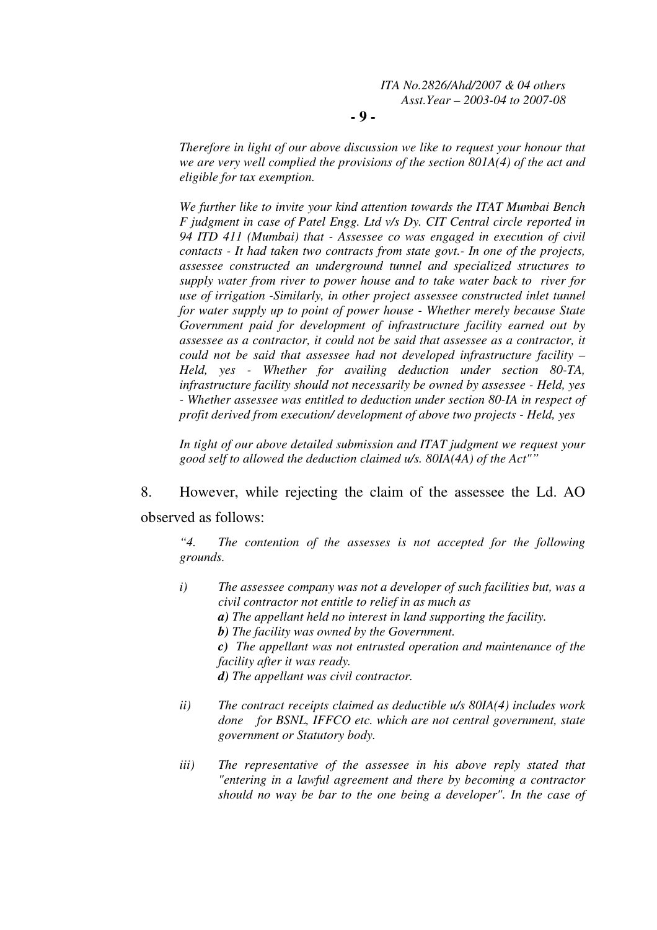**- 9 -** 

*Therefore in light of our above discussion we like to request your honour that we are very well complied the provisions of the section 801A(4) of the act and eligible for tax exemption.* 

*We further like to invite your kind attention towards the ITAT Mumbai Bench F judgment in case of Patel Engg. Ltd v/s Dy. CIT Central circle reported in 94 ITD 411 (Mumbai) that - Assessee co was engaged in execution of civil contacts - It had taken two contracts from state govt.- In one of the projects, assessee constructed an underground tunnel and specialized structures to supply water from river to power house and to take water back to river for use of irrigation -Similarly, in other project assessee constructed inlet tunnel for water supply up to point of power house - Whether merely because State Government paid for development of infrastructure facility earned out by assessee as a contractor, it could not be said that assessee as a contractor, it could not be said that assessee had not developed infrastructure facility – Held, yes - Whether for availing deduction under section 80-TA, infrastructure facility should not necessarily be owned by assessee - Held, yes - Whether assessee was entitled to deduction under section 80-IA in respect of profit derived from execution/ development of above two projects - Held, yes* 

*In tight of our above detailed submission and ITAT judgment we request your good self to allowed the deduction claimed u/s. 80IA(4A) of the Act""* 

8. However, while rejecting the claim of the assessee the Ld. AO observed as follows:

*"4. The contention of the assesses is not accepted for the following grounds.* 

*i) The assessee company was not a developer of such facilities but, was a civil contractor not entitle to relief in as much as a) The appellant held no interest in land supporting the facility. b) The facility was owned by the Government. c) The appellant was not entrusted operation and maintenance of the facility after it was ready.* 

*d) The appellant was civil contractor.* 

- *ii) The contract receipts claimed as deductible u/s 80IA(4) includes work done for BSNL, IFFCO etc. which are not central government, state government or Statutory body.*
- *iii) The representative of the assessee in his above reply stated that "entering in a lawful agreement and there by becoming a contractor should no way be bar to the one being a developer". In the case of*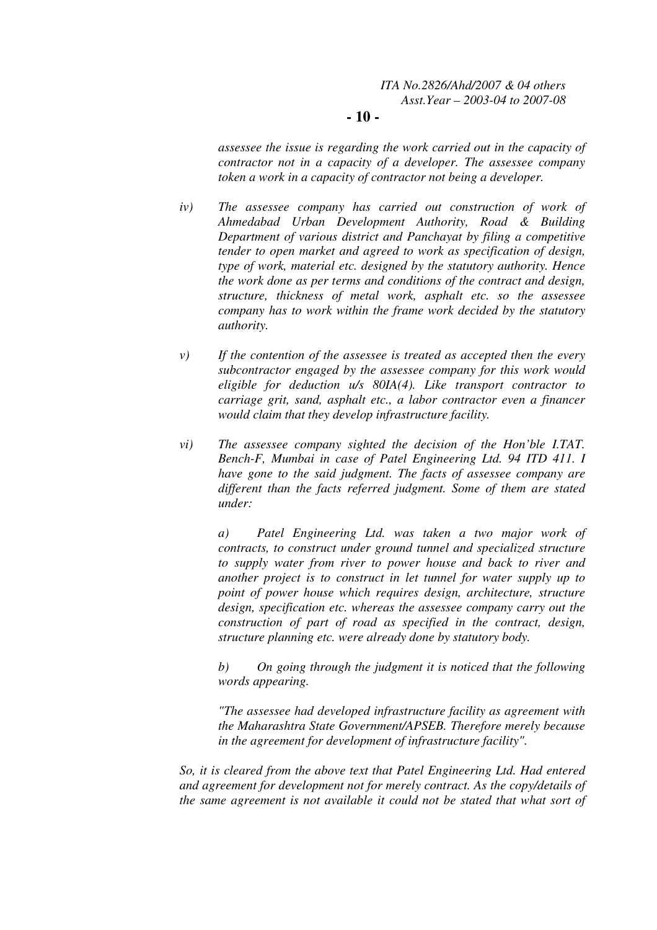### **- 10 -**

*assessee the issue is regarding the work carried out in the capacity of contractor not in a capacity of a developer. The assessee company token a work in a capacity of contractor not being a developer.* 

- *iv) The assessee company has carried out construction of work of Ahmedabad Urban Development Authority, Road & Building Department of various district and Panchayat by filing a competitive tender to open market and agreed to work as specification of design, type of work, material etc. designed by the statutory authority. Hence the work done as per terms and conditions of the contract and design, structure, thickness of metal work, asphalt etc. so the assessee company has to work within the frame work decided by the statutory authority.*
- *v) If the contention of the assessee is treated as accepted then the every subcontractor engaged by the assessee company for this work would eligible for deduction u/s 80IA(4). Like transport contractor to carriage grit, sand, asphalt etc., a labor contractor even a financer would claim that they develop infrastructure facility.*
- *vi) The assessee company sighted the decision of the Hon'ble I.TAT. Bench-F, Mumbai in case of Patel Engineering Ltd. 94 ITD 411. I have gone to the said judgment. The facts of assessee company are different than the facts referred judgment. Some of them are stated under:*

 *a) Patel Engineering Ltd. was taken a two major work of contracts, to construct under ground tunnel and specialized structure to supply water from river to power house and back to river and another project is to construct in let tunnel for water supply up to point of power house which requires design, architecture, structure design, specification etc. whereas the assessee company carry out the construction of part of road as specified in the contract, design, structure planning etc. were already done by statutory body.* 

 *b) On going through the judgment it is noticed that the following words appearing.* 

 *"The assessee had developed infrastructure facility as agreement with the Maharashtra State Government/APSEB. Therefore merely because in the agreement for development of infrastructure facility".* 

*So, it is cleared from the above text that Patel Engineering Ltd. Had entered and agreement for development not for merely contract. As the copy/details of the same agreement is not available it could not be stated that what sort of*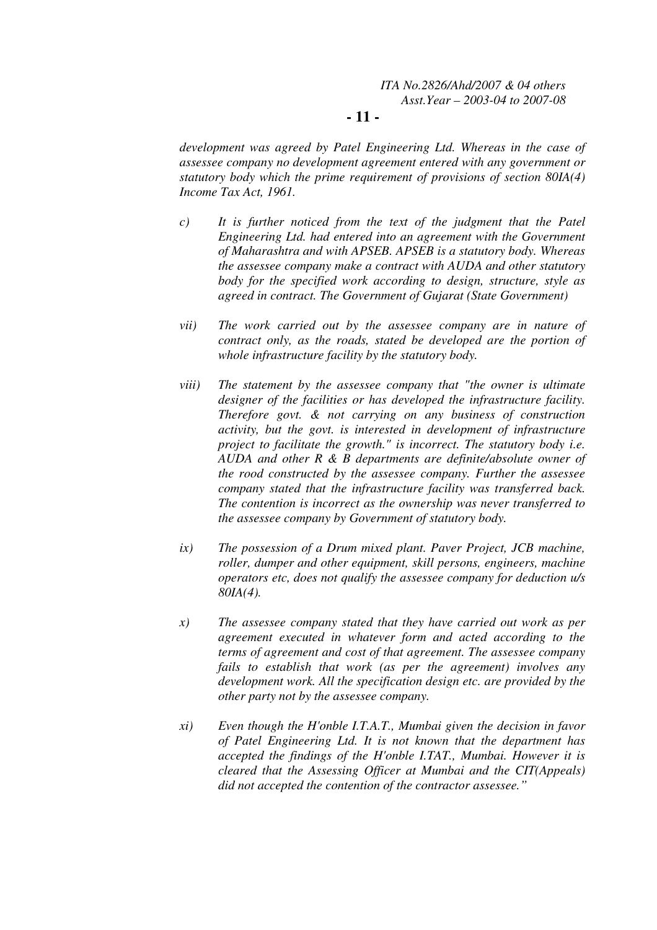### **- 11 -**

*development was agreed by Patel Engineering Ltd. Whereas in the case of assessee company no development agreement entered with any government or statutory body which the prime requirement of provisions of section 80IA(4) Income Tax Act, 1961.* 

- *c) It is further noticed from the text of the judgment that the Patel Engineering Ltd. had entered into an agreement with the Government of Maharashtra and with APSEB. APSEB is a statutory body. Whereas the assessee company make a contract with AUDA and other statutory body for the specified work according to design, structure, style as agreed in contract. The Government of Gujarat (State Government)*
- *vii) The work carried out by the assessee company are in nature of contract only, as the roads, stated be developed are the portion of whole infrastructure facility by the statutory body.*
- *viii) The statement by the assessee company that "the owner is ultimate designer of the facilities or has developed the infrastructure facility. Therefore govt. & not carrying on any business of construction activity, but the govt. is interested in development of infrastructure project to facilitate the growth." is incorrect. The statutory body i.e. AUDA and other R & B departments are definite/absolute owner of the rood constructed by the assessee company. Further the assessee company stated that the infrastructure facility was transferred back. The contention is incorrect as the ownership was never transferred to the assessee company by Government of statutory body.*
- *ix) The possession of a Drum mixed plant. Paver Project, JCB machine, roller, dumper and other equipment, skill persons, engineers, machine operators etc, does not qualify the assessee company for deduction u/s 80IA(4).*
- *x) The assessee company stated that they have carried out work as per agreement executed in whatever form and acted according to the terms of agreement and cost of that agreement. The assessee company fails to establish that work (as per the agreement) involves any development work. All the specification design etc. are provided by the other party not by the assessee company.*
- *xi) Even though the H'onble I.T.A.T., Mumbai given the decision in favor of Patel Engineering Ltd. It is not known that the department has accepted the findings of the H'onble I.TAT., Mumbai. However it is cleared that the Assessing Officer at Mumbai and the CIT(Appeals) did not accepted the contention of the contractor assessee."*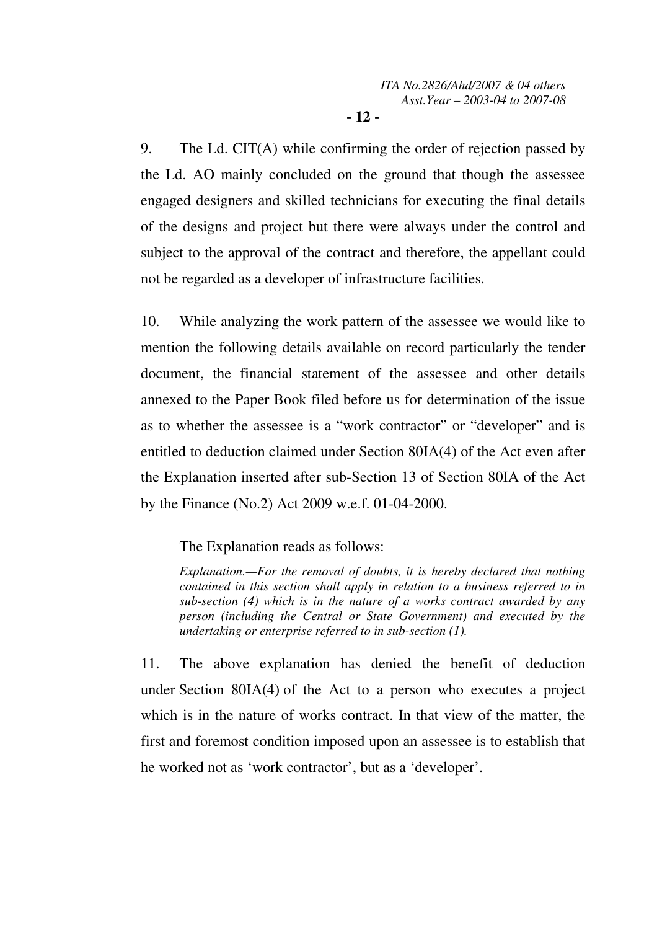9. The Ld. CIT(A) while confirming the order of rejection passed by the Ld. AO mainly concluded on the ground that though the assessee engaged designers and skilled technicians for executing the final details of the designs and project but there were always under the control and subject to the approval of the contract and therefore, the appellant could not be regarded as a developer of infrastructure facilities.

10. While analyzing the work pattern of the assessee we would like to mention the following details available on record particularly the tender document, the financial statement of the assessee and other details annexed to the Paper Book filed before us for determination of the issue as to whether the assessee is a "work contractor" or "developer" and is entitled to deduction claimed under Section 80IA(4) of the Act even after the Explanation inserted after sub-Section 13 of Section 80IA of the Act by the Finance (No.2) Act 2009 w.e.f. 01-04-2000.

The Explanation reads as follows:

*Explanation.—For the removal of doubts, it is hereby declared that nothing contained in this section shall apply in relation to a business referred to in sub-section (4) which is in the nature of a works contract awarded by any person (including the Central or State Government) and executed by the undertaking or enterprise referred to in sub-section (1).* 

11. The above explanation has denied the benefit of deduction under Section 80IA(4) of the Act to a person who executes a project which is in the nature of works contract. In that view of the matter, the first and foremost condition imposed upon an assessee is to establish that he worked not as 'work contractor', but as a 'developer'.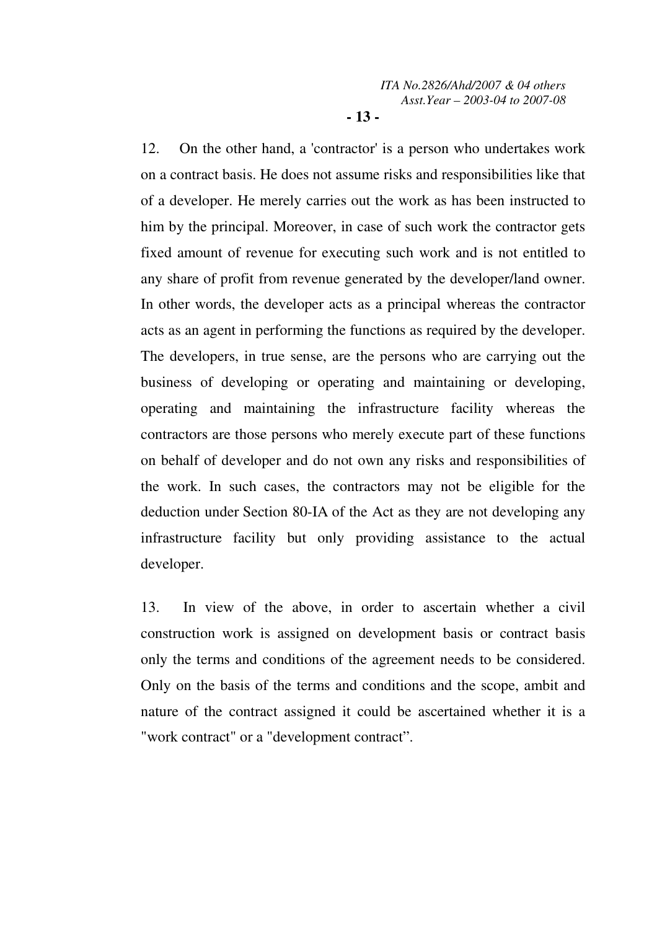12. On the other hand, a 'contractor' is a person who undertakes work on a contract basis. He does not assume risks and responsibilities like that of a developer. He merely carries out the work as has been instructed to him by the principal. Moreover, in case of such work the contractor gets fixed amount of revenue for executing such work and is not entitled to any share of profit from revenue generated by the developer/land owner. In other words, the developer acts as a principal whereas the contractor acts as an agent in performing the functions as required by the developer. The developers, in true sense, are the persons who are carrying out the business of developing or operating and maintaining or developing, operating and maintaining the infrastructure facility whereas the contractors are those persons who merely execute part of these functions on behalf of developer and do not own any risks and responsibilities of the work. In such cases, the contractors may not be eligible for the deduction under Section 80-IA of the Act as they are not developing any infrastructure facility but only providing assistance to the actual developer.

13. In view of the above, in order to ascertain whether a civil construction work is assigned on development basis or contract basis only the terms and conditions of the agreement needs to be considered. Only on the basis of the terms and conditions and the scope, ambit and nature of the contract assigned it could be ascertained whether it is a "work contract" or a "development contract".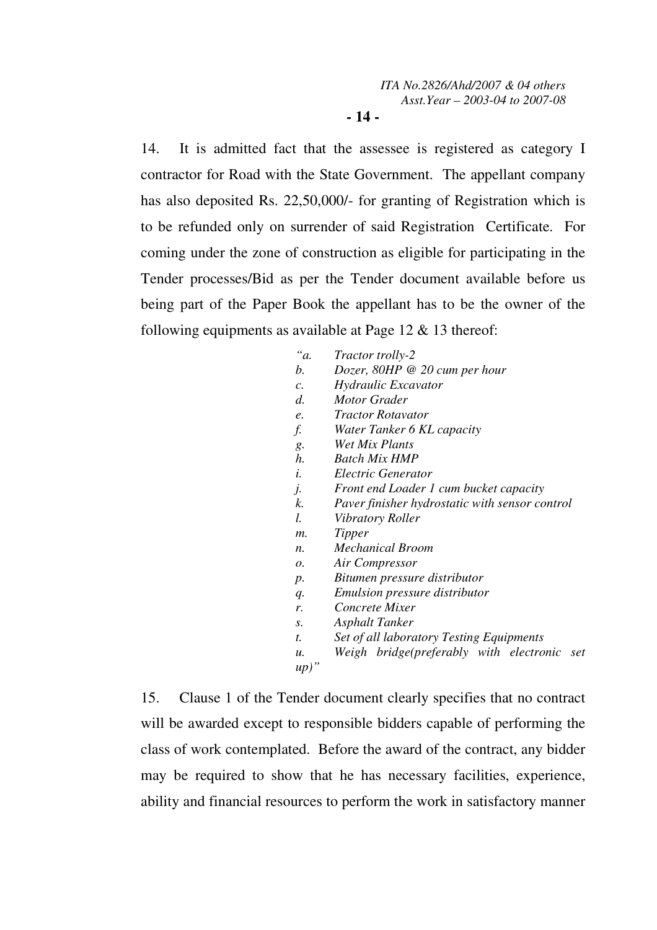14. It is admitted fact that the assessee is registered as category I contractor for Road with the State Government. The appellant company has also deposited Rs. 22,50,000/- for granting of Registration which is to be refunded only on surrender of said Registration Certificate. For coming under the zone of construction as eligible for participating in the Tender processes/Bid as per the Tender document available before us being part of the Paper Book the appellant has to be the owner of the following equipments as available at Page 12 & 13 thereof:

| "a.             | <i>Tractor trolly-2</i>                        |
|-----------------|------------------------------------------------|
| b.              | Dozer, $80HP \otimes 20$ cum per hour          |
| $\mathcal{C}$ . | Hydraulic Excavator                            |
| $d$ .           | <b>Motor Grader</b>                            |
| e.              | <i>Tractor Rotavator</i>                       |
| f.              | Water Tanker 6 KL capacity                     |
| g.              | Wet Mix Plants                                 |
| h.              | <b>Batch Mix HMP</b>                           |
| i.              | Electric Generator                             |
| j.              | Front end Loader 1 cum bucket capacity         |
| k.              | Paver finisher hydrostatic with sensor control |
| I.              | Vibratory Roller                               |
| $m$ .           | Tipper                                         |
| $n_{\cdot}$     | <b>Mechanical Broom</b>                        |
| 0.              | Air Compressor                                 |
| $p$ .           | Bitumen pressure distributor                   |
| q.              | <i>Emulsion pressure distributor</i>           |
| r.              | Concrete Mixer                                 |
| S.              | Asphalt Tanker                                 |
| t.              | Set of all laboratory Testing Equipments       |
| и.              | Weigh bridge(preferably with electronic<br>set |
| up)             |                                                |

15. Clause 1 of the Tender document clearly specifies that no contract will be awarded except to responsible bidders capable of performing the class of work contemplated. Before the award of the contract, any bidder may be required to show that he has necessary facilities, experience, ability and financial resources to perform the work in satisfactory manner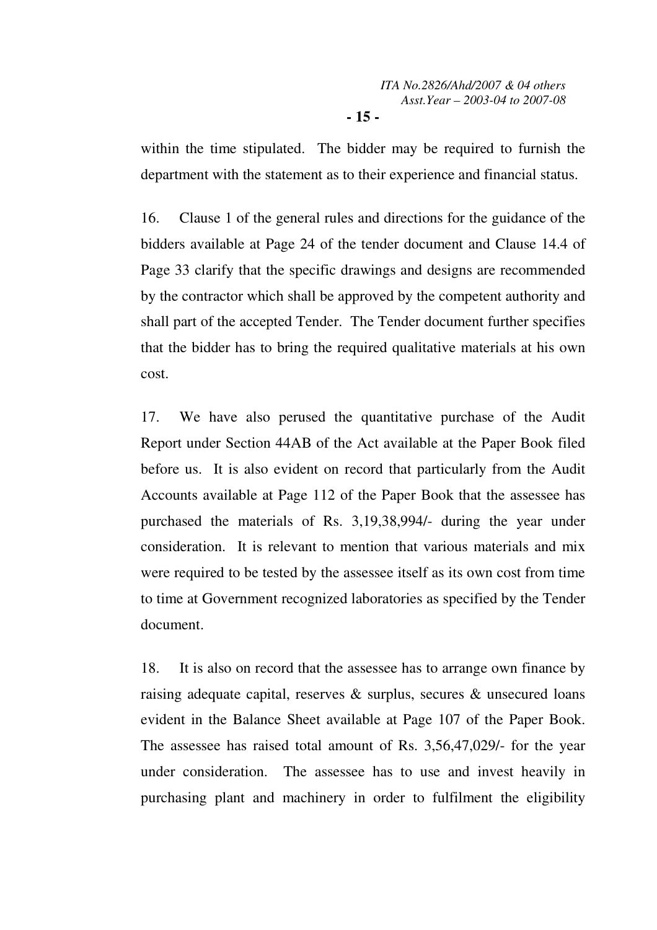within the time stipulated. The bidder may be required to furnish the department with the statement as to their experience and financial status.

16. Clause 1 of the general rules and directions for the guidance of the bidders available at Page 24 of the tender document and Clause 14.4 of Page 33 clarify that the specific drawings and designs are recommended by the contractor which shall be approved by the competent authority and shall part of the accepted Tender. The Tender document further specifies that the bidder has to bring the required qualitative materials at his own cost.

17. We have also perused the quantitative purchase of the Audit Report under Section 44AB of the Act available at the Paper Book filed before us. It is also evident on record that particularly from the Audit Accounts available at Page 112 of the Paper Book that the assessee has purchased the materials of Rs. 3,19,38,994/- during the year under consideration. It is relevant to mention that various materials and mix were required to be tested by the assessee itself as its own cost from time to time at Government recognized laboratories as specified by the Tender document.

18. It is also on record that the assessee has to arrange own finance by raising adequate capital, reserves & surplus, secures & unsecured loans evident in the Balance Sheet available at Page 107 of the Paper Book. The assessee has raised total amount of Rs. 3,56,47,029/- for the year under consideration. The assessee has to use and invest heavily in purchasing plant and machinery in order to fulfilment the eligibility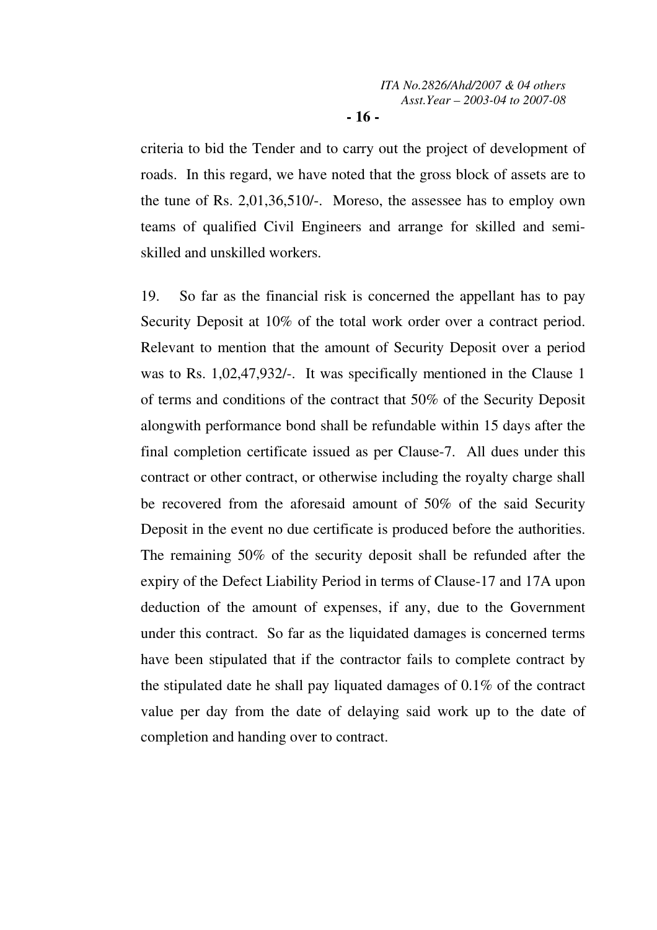criteria to bid the Tender and to carry out the project of development of roads. In this regard, we have noted that the gross block of assets are to the tune of Rs. 2,01,36,510/-. Moreso, the assessee has to employ own teams of qualified Civil Engineers and arrange for skilled and semiskilled and unskilled workers.

19. So far as the financial risk is concerned the appellant has to pay Security Deposit at 10% of the total work order over a contract period. Relevant to mention that the amount of Security Deposit over a period was to Rs. 1,02,47,932/-. It was specifically mentioned in the Clause 1 of terms and conditions of the contract that 50% of the Security Deposit alongwith performance bond shall be refundable within 15 days after the final completion certificate issued as per Clause-7. All dues under this contract or other contract, or otherwise including the royalty charge shall be recovered from the aforesaid amount of 50% of the said Security Deposit in the event no due certificate is produced before the authorities. The remaining 50% of the security deposit shall be refunded after the expiry of the Defect Liability Period in terms of Clause-17 and 17A upon deduction of the amount of expenses, if any, due to the Government under this contract. So far as the liquidated damages is concerned terms have been stipulated that if the contractor fails to complete contract by the stipulated date he shall pay liquated damages of 0.1% of the contract value per day from the date of delaying said work up to the date of completion and handing over to contract.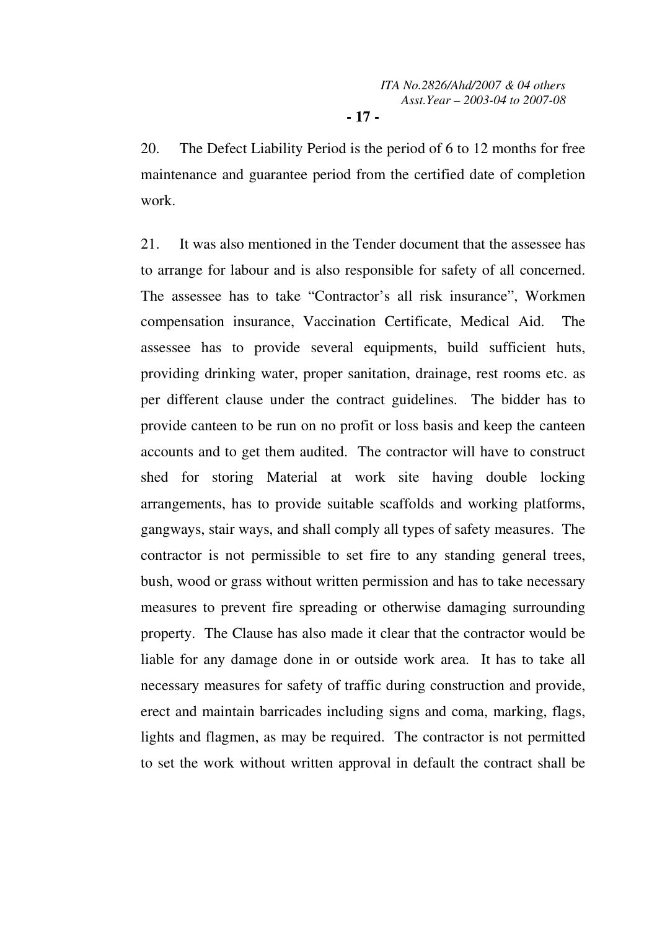20. The Defect Liability Period is the period of 6 to 12 months for free maintenance and guarantee period from the certified date of completion work.

21. It was also mentioned in the Tender document that the assessee has to arrange for labour and is also responsible for safety of all concerned. The assessee has to take "Contractor's all risk insurance", Workmen compensation insurance, Vaccination Certificate, Medical Aid. The assessee has to provide several equipments, build sufficient huts, providing drinking water, proper sanitation, drainage, rest rooms etc. as per different clause under the contract guidelines. The bidder has to provide canteen to be run on no profit or loss basis and keep the canteen accounts and to get them audited. The contractor will have to construct shed for storing Material at work site having double locking arrangements, has to provide suitable scaffolds and working platforms, gangways, stair ways, and shall comply all types of safety measures. The contractor is not permissible to set fire to any standing general trees, bush, wood or grass without written permission and has to take necessary measures to prevent fire spreading or otherwise damaging surrounding property. The Clause has also made it clear that the contractor would be liable for any damage done in or outside work area. It has to take all necessary measures for safety of traffic during construction and provide, erect and maintain barricades including signs and coma, marking, flags, lights and flagmen, as may be required. The contractor is not permitted to set the work without written approval in default the contract shall be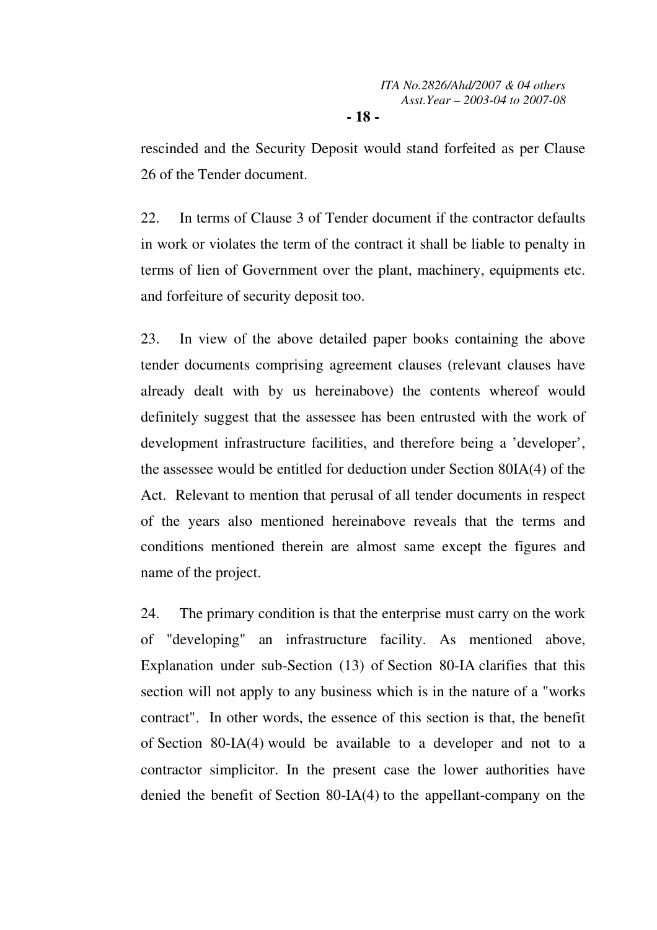rescinded and the Security Deposit would stand forfeited as per Clause 26 of the Tender document.

22. In terms of Clause 3 of Tender document if the contractor defaults in work or violates the term of the contract it shall be liable to penalty in terms of lien of Government over the plant, machinery, equipments etc. and forfeiture of security deposit too.

23. In view of the above detailed paper books containing the above tender documents comprising agreement clauses (relevant clauses have already dealt with by us hereinabove) the contents whereof would definitely suggest that the assessee has been entrusted with the work of development infrastructure facilities, and therefore being a 'developer', the assessee would be entitled for deduction under Section 80IA(4) of the Act. Relevant to mention that perusal of all tender documents in respect of the years also mentioned hereinabove reveals that the terms and conditions mentioned therein are almost same except the figures and name of the project.

24. The primary condition is that the enterprise must carry on the work of "developing" an infrastructure facility. As mentioned above, Explanation under sub-Section (13) of Section 80-IA clarifies that this section will not apply to any business which is in the nature of a "works contract". In other words, the essence of this section is that, the benefit of Section 80-IA(4) would be available to a developer and not to a contractor simplicitor. In the present case the lower authorities have denied the benefit of Section 80-IA(4) to the appellant-company on the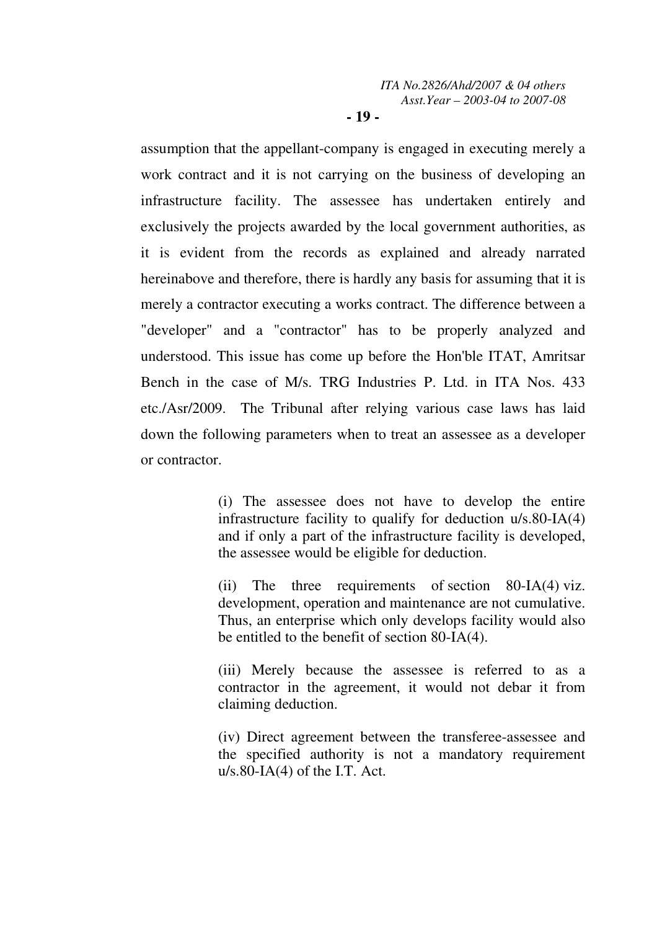### **- 19 -**

assumption that the appellant-company is engaged in executing merely a work contract and it is not carrying on the business of developing an infrastructure facility. The assessee has undertaken entirely and exclusively the projects awarded by the local government authorities, as it is evident from the records as explained and already narrated hereinabove and therefore, there is hardly any basis for assuming that it is merely a contractor executing a works contract. The difference between a "developer" and a "contractor" has to be properly analyzed and understood. This issue has come up before the Hon'ble ITAT, Amritsar Bench in the case of M/s. TRG Industries P. Ltd. in ITA Nos. 433 etc./Asr/2009. The Tribunal after relying various case laws has laid down the following parameters when to treat an assessee as a developer or contractor.

> (i) The assessee does not have to develop the entire infrastructure facility to qualify for deduction u/s.80-IA(4) and if only a part of the infrastructure facility is developed, the assessee would be eligible for deduction.

> (ii) The three requirements of section 80-IA(4) viz. development, operation and maintenance are not cumulative. Thus, an enterprise which only develops facility would also be entitled to the benefit of section 80-IA(4).

> (iii) Merely because the assessee is referred to as a contractor in the agreement, it would not debar it from claiming deduction.

> (iv) Direct agreement between the transferee-assessee and the specified authority is not a mandatory requirement  $u/s.80$ -IA(4) of the I.T. Act.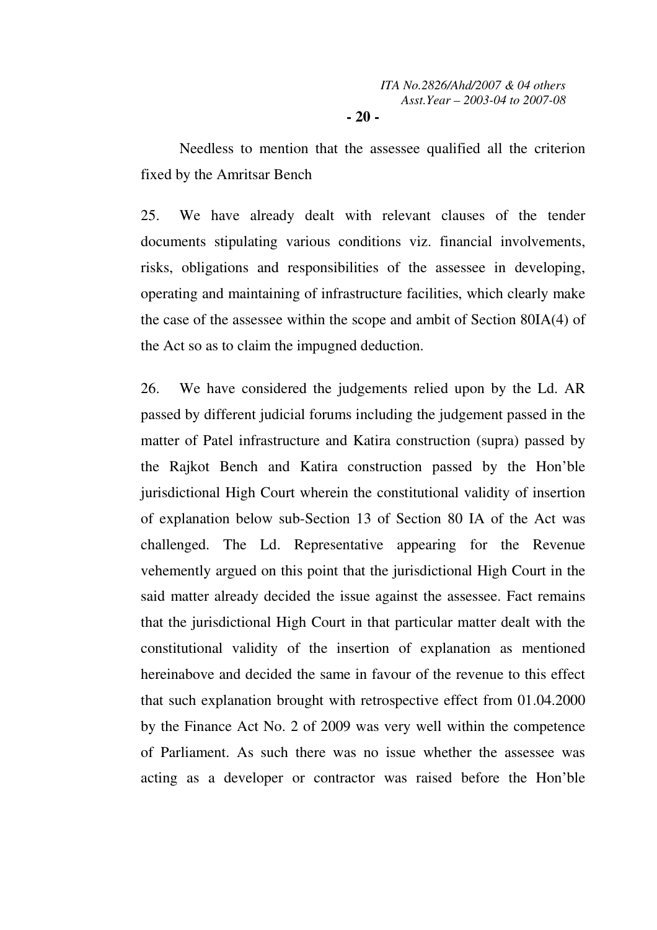Needless to mention that the assessee qualified all the criterion fixed by the Amritsar Bench

25. We have already dealt with relevant clauses of the tender documents stipulating various conditions viz. financial involvements, risks, obligations and responsibilities of the assessee in developing, operating and maintaining of infrastructure facilities, which clearly make the case of the assessee within the scope and ambit of Section 80IA(4) of the Act so as to claim the impugned deduction.

26. We have considered the judgements relied upon by the Ld. AR passed by different judicial forums including the judgement passed in the matter of Patel infrastructure and Katira construction (supra) passed by the Rajkot Bench and Katira construction passed by the Hon'ble jurisdictional High Court wherein the constitutional validity of insertion of explanation below sub-Section 13 of Section 80 IA of the Act was challenged. The Ld. Representative appearing for the Revenue vehemently argued on this point that the jurisdictional High Court in the said matter already decided the issue against the assessee. Fact remains that the jurisdictional High Court in that particular matter dealt with the constitutional validity of the insertion of explanation as mentioned hereinabove and decided the same in favour of the revenue to this effect that such explanation brought with retrospective effect from 01.04.2000 by the Finance Act No. 2 of 2009 was very well within the competence of Parliament. As such there was no issue whether the assessee was acting as a developer or contractor was raised before the Hon'ble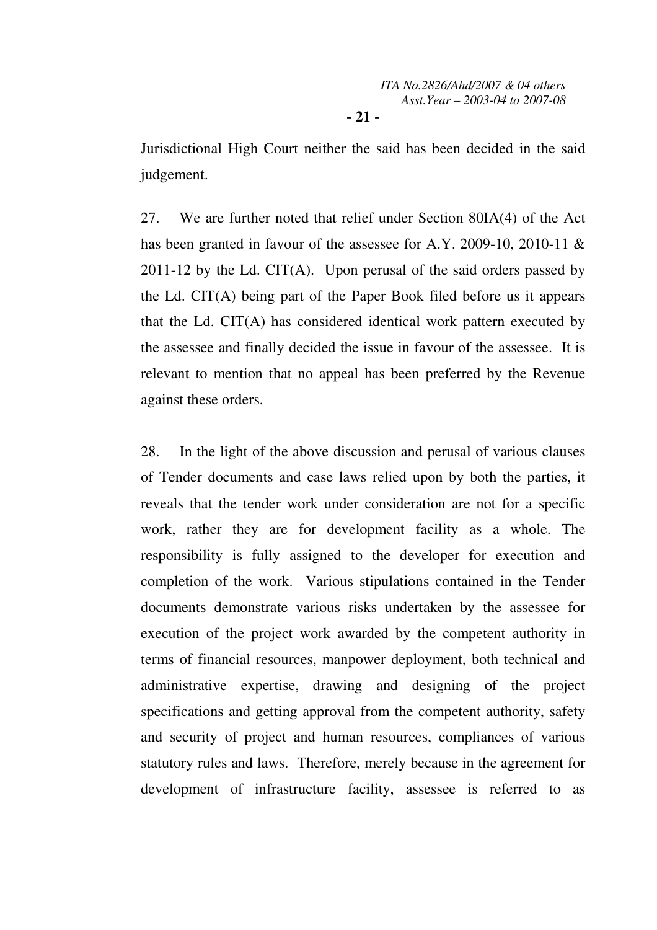Jurisdictional High Court neither the said has been decided in the said judgement.

27. We are further noted that relief under Section 80IA(4) of the Act has been granted in favour of the assessee for A.Y. 2009-10, 2010-11 & 2011-12 by the Ld. CIT(A). Upon perusal of the said orders passed by the Ld. CIT(A) being part of the Paper Book filed before us it appears that the Ld. CIT(A) has considered identical work pattern executed by the assessee and finally decided the issue in favour of the assessee. It is relevant to mention that no appeal has been preferred by the Revenue against these orders.

28. In the light of the above discussion and perusal of various clauses of Tender documents and case laws relied upon by both the parties, it reveals that the tender work under consideration are not for a specific work, rather they are for development facility as a whole. The responsibility is fully assigned to the developer for execution and completion of the work. Various stipulations contained in the Tender documents demonstrate various risks undertaken by the assessee for execution of the project work awarded by the competent authority in terms of financial resources, manpower deployment, both technical and administrative expertise, drawing and designing of the project specifications and getting approval from the competent authority, safety and security of project and human resources, compliances of various statutory rules and laws. Therefore, merely because in the agreement for development of infrastructure facility, assessee is referred to as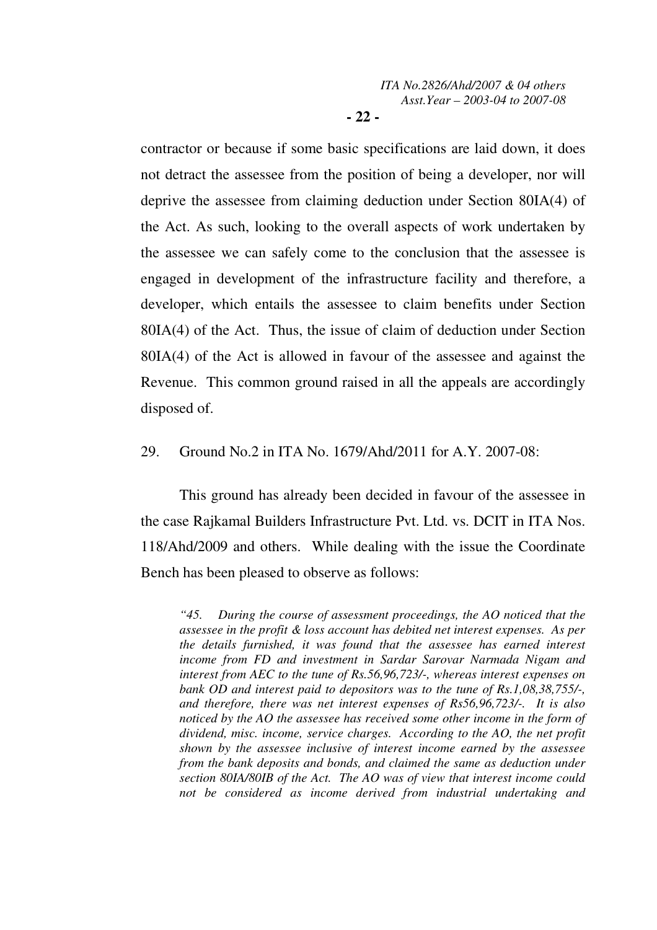contractor or because if some basic specifications are laid down, it does not detract the assessee from the position of being a developer, nor will deprive the assessee from claiming deduction under Section 80IA(4) of the Act. As such, looking to the overall aspects of work undertaken by the assessee we can safely come to the conclusion that the assessee is engaged in development of the infrastructure facility and therefore, a developer, which entails the assessee to claim benefits under Section 80IA(4) of the Act. Thus, the issue of claim of deduction under Section 80IA(4) of the Act is allowed in favour of the assessee and against the Revenue. This common ground raised in all the appeals are accordingly disposed of.

# 29. Ground No.2 in ITA No. 1679/Ahd/2011 for A.Y. 2007-08:

 This ground has already been decided in favour of the assessee in the case Rajkamal Builders Infrastructure Pvt. Ltd. vs. DCIT in ITA Nos. 118/Ahd/2009 and others. While dealing with the issue the Coordinate Bench has been pleased to observe as follows:

*"45. During the course of assessment proceedings, the AO noticed that the assessee in the profit & loss account has debited net interest expenses. As per the details furnished, it was found that the assessee has earned interest income from FD and investment in Sardar Sarovar Narmada Nigam and interest from AEC to the tune of Rs.56,96,723/-, whereas interest expenses on bank OD and interest paid to depositors was to the tune of Rs.1,08,38,755/-, and therefore, there was net interest expenses of Rs56,96,723/-. It is also noticed by the AO the assessee has received some other income in the form of dividend, misc. income, service charges. According to the AO, the net profit shown by the assessee inclusive of interest income earned by the assessee from the bank deposits and bonds, and claimed the same as deduction under section 80IA/80IB of the Act. The AO was of view that interest income could not be considered as income derived from industrial undertaking and*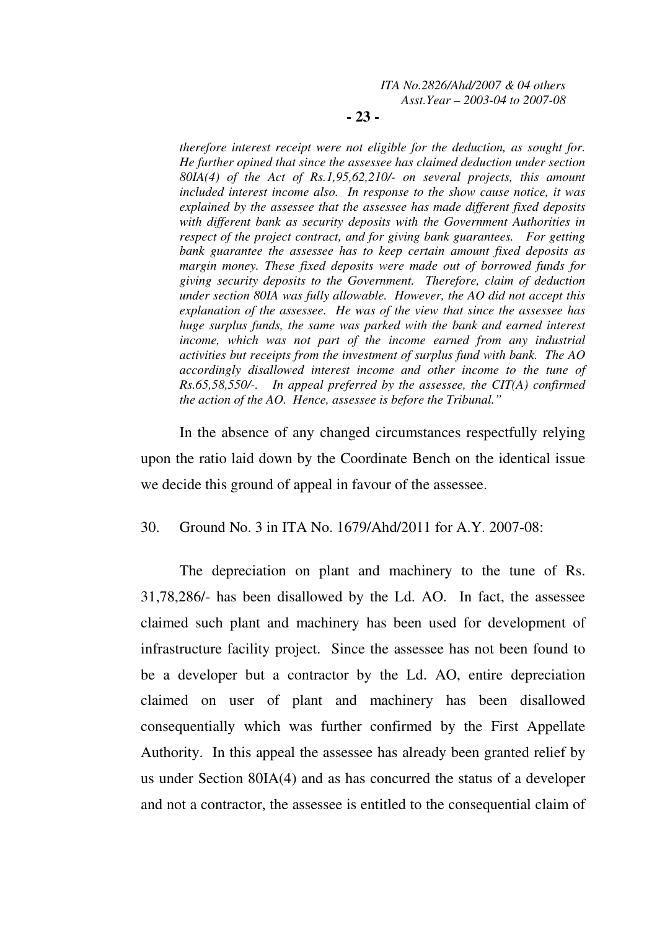**- 23 -** 

*therefore interest receipt were not eligible for the deduction, as sought for. He further opined that since the assessee has claimed deduction under section 80IA(4) of the Act of Rs.1,95,62,210/- on several projects, this amount included interest income also. In response to the show cause notice, it was explained by the assessee that the assessee has made different fixed deposits with different bank as security deposits with the Government Authorities in respect of the project contract, and for giving bank guarantees. For getting bank guarantee the assessee has to keep certain amount fixed deposits as margin money. These fixed deposits were made out of borrowed funds for giving security deposits to the Government. Therefore, claim of deduction under section 80IA was fully allowable. However, the AO did not accept this explanation of the assessee. He was of the view that since the assessee has huge surplus funds, the same was parked with the bank and earned interest income, which was not part of the income earned from any industrial activities but receipts from the investment of surplus fund with bank. The AO accordingly disallowed interest income and other income to the tune of Rs.65,58,550/-. In appeal preferred by the assessee, the CIT(A) confirmed the action of the AO. Hence, assessee is before the Tribunal."* 

In the absence of any changed circumstances respectfully relying upon the ratio laid down by the Coordinate Bench on the identical issue we decide this ground of appeal in favour of the assessee.

30. Ground No. 3 in ITA No. 1679/Ahd/2011 for A.Y. 2007-08:

 The depreciation on plant and machinery to the tune of Rs. 31,78,286/- has been disallowed by the Ld. AO. In fact, the assessee claimed such plant and machinery has been used for development of infrastructure facility project. Since the assessee has not been found to be a developer but a contractor by the Ld. AO, entire depreciation claimed on user of plant and machinery has been disallowed consequentially which was further confirmed by the First Appellate Authority. In this appeal the assessee has already been granted relief by us under Section 80IA(4) and as has concurred the status of a developer and not a contractor, the assessee is entitled to the consequential claim of